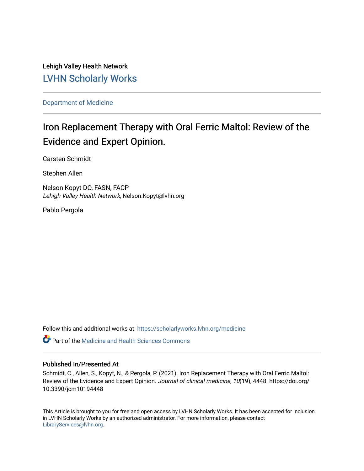Lehigh Valley Health Network [LVHN Scholarly Works](https://scholarlyworks.lvhn.org/)

[Department of Medicine](https://scholarlyworks.lvhn.org/medicine) 

# Iron Replacement Therapy with Oral Ferric Maltol: Review of the Evidence and Expert Opinion.

Carsten Schmidt

Stephen Allen

Nelson Kopyt DO, FASN, FACP Lehigh Valley Health Network, Nelson.Kopyt@lvhn.org

Pablo Pergola

Follow this and additional works at: [https://scholarlyworks.lvhn.org/medicine](https://scholarlyworks.lvhn.org/medicine?utm_source=scholarlyworks.lvhn.org%2Fmedicine%2F1903&utm_medium=PDF&utm_campaign=PDFCoverPages) 

**C** Part of the Medicine and Health Sciences Commons

## Published In/Presented At

Schmidt, C., Allen, S., Kopyt, N., & Pergola, P. (2021). Iron Replacement Therapy with Oral Ferric Maltol: Review of the Evidence and Expert Opinion. Journal of clinical medicine, 10(19), 4448. https://doi.org/ 10.3390/jcm10194448

This Article is brought to you for free and open access by LVHN Scholarly Works. It has been accepted for inclusion in LVHN Scholarly Works by an authorized administrator. For more information, please contact [LibraryServices@lvhn.org](mailto:LibraryServices@lvhn.org).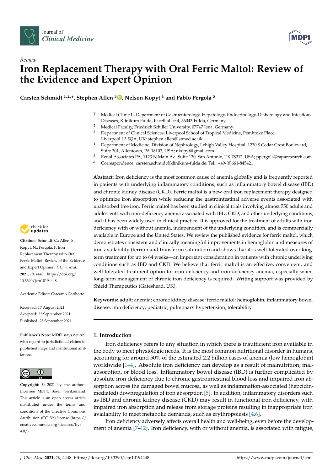



# *Review* **Iron Replacement Therapy with Oral Ferric Maltol: Review of the Evidence and Expert Opinion**

**Carsten Schmidt 1,2,\*, Stephen Allen <sup>3</sup> [,](https://orcid.org/0000-0001-6675-249X) Nelson Kopyt <sup>4</sup> and Pablo Pergola <sup>5</sup>**

- <sup>1</sup> Medical Clinic II, Department of Gastroenterology, Hepatology, Endocrinology, Diabetology and Infectious Diseases, Klinikum Fulda, Pacelliallee 4, 36043 Fulda, Germany
- <sup>2</sup> Medical Faculty, Friedrich Schiller University, 07747 Jena, Germany<br><sup>3</sup> Department of Clinical Sciences, Liverpool School of Tropical Media
- <sup>3</sup> Department of Clinical Sciences, Liverpool School of Tropical Medicine, Pembroke Place,
- Liverpool L3 5QA, UK; stephen.allen@lstmed.ac.uk
- <sup>4</sup> Department of Medicine, Division of Nephrology, Lehigh Valley Hospital, 1230 S Cedar Crest Boulevard, Suite 301, Allentown, PA 18103, USA; nkopyt@gmail.com
- <sup>5</sup> Renal Associates PA, 1123 N Main Av., Suite 120, San Antonio, TX 78212, USA; ppergola@raparesearch.com
- **\*** Correspondence: carsten.schmidt@klinikum-fulda.de; Tel.: +49-(0)661-845421

**Abstract:** Iron deficiency is the most common cause of anemia globally and is frequently reported in patients with underlying inflammatory conditions, such as inflammatory bowel disease (IBD) and chronic kidney disease (CKD). Ferric maltol is a new oral iron replacement therapy designed to optimize iron absorption while reducing the gastrointestinal adverse events associated with unabsorbed free iron. Ferric maltol has been studied in clinical trials involving almost 750 adults and adolescents with iron-deficiency anemia associated with IBD, CKD, and other underlying conditions, and it has been widely used in clinical practice. It is approved for the treatment of adults with iron deficiency with or without anemia, independent of the underlying condition, and is commercially available in Europe and the United States. We review the published evidence for ferric maltol, which demonstrates consistent and clinically meaningful improvements in hemoglobin and measures of iron availability (ferritin and transferrin saturation) and shows that it is well-tolerated over longterm treatment for up to 64 weeks—an important consideration in patients with chronic underlying conditions such as IBD and CKD. We believe that ferric maltol is an effective, convenient, and well-tolerated treatment option for iron deficiency and iron-deficiency anemia, especially when long-term management of chronic iron deficiency is required. Writing support was provided by Shield Therapeutics (Gateshead, UK).

**Keywords:** adult; anemia; chronic kidney disease; ferric maltol; hemoglobin; inflammatory bowel disease; iron deficiency; pediatric; pulmonary hypertension; tolerability

#### **1. Introduction**

Iron deficiency refers to any situation in which there is insufficient iron available in the body to meet physiologic needs. It is the most common nutritional disorder in humans, accounting for around 50% of the estimated 2.2 billion cases of anemia (low hemoglobin) worldwide [\[1–](#page-13-0)[4\]](#page-13-1). Absolute iron deficiency can develop as a result of malnutrition, malabsorption, or blood loss. Inflammatory bowel disease (IBD) is further complicated by absolute iron deficiency due to chronic gastrointestinal blood loss and impaired iron absorption across the damaged bowel mucosa, as well as inflammation-associated (hepcidinmediated) downregulation of iron absorption [\[5\]](#page-13-2). In addition, inflammatory disorders such as IBD and chronic kidney disease (CKD) may result in functional iron deficiency, with impaired iron absorption and release from storage proteins resulting in inappropriate iron availability to meet metabolic demands, such as erythropoiesis [\[4](#page-13-1)[,6\]](#page-13-3).

Iron deficiency adversely affects overall health and well-being, even before the develop-ment of anemia [\[7](#page-13-4)[–12\]](#page-13-5). Iron deficiency, with or without anemia, is associated with fatigue,



**Citation:** Schmidt, C.; Allen, S.; Kopyt, N.; Pergola, P. Iron Replacement Therapy with Oral Ferric Maltol: Review of the Evidence and Expert Opinion. *J. Clin. Med.* **2021**, *10*, 4448. [https://doi.org/](https://doi.org/10.3390/jcm10194448) [10.3390/jcm10194448](https://doi.org/10.3390/jcm10194448)

Academic Editor: Giacomo Garibotto

Received: 17 August 2021 Accepted: 23 September 2021 Published: 28 September 2021

**Publisher's Note:** MDPI stays neutral with regard to jurisdictional claims in published maps and institutional affiliations.



**Copyright:** © 2021 by the authors. Licensee MDPI, Basel, Switzerland. This article is an open access article distributed under the terms and conditions of the Creative Commons Attribution (CC BY) license (https:/[/](https://creativecommons.org/licenses/by/4.0/) [creativecommons.org/licenses/by/](https://creativecommons.org/licenses/by/4.0/) 4.0/).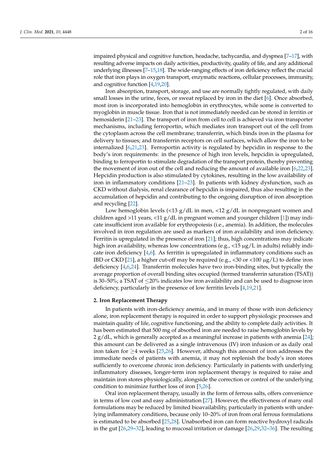impaired physical and cognitive function, headache, tachycardia, and dyspnea [\[7–](#page-13-4)[17\]](#page-13-6), with resulting adverse impacts on daily activities, productivity, quality of life, and any additional underlying illnesses [\[7](#page-13-4)[–15,](#page-13-7)[18\]](#page-13-8). The wide-ranging effects of iron deficiency reflect the crucial role that iron plays in oxygen transport, enzymatic reactions, cellular processes, immunity, and cognitive function [\[4,](#page-13-1)[19,](#page-13-9)[20\]](#page-13-10).

Iron absorption, transport, storage, and use are normally tightly regulated, with daily small losses in the urine, feces, or sweat replaced by iron in the diet [\[6\]](#page-13-3). Once absorbed, most iron is incorporated into hemoglobin in erythrocytes, while some is converted to myoglobin in muscle tissue. Iron that is not immediately needed can be stored in ferritin or hemosiderin [\[21–](#page-13-11)[23\]](#page-13-12). The transport of iron from cell to cell is achieved via iron transporter mechanisms, including ferroportin, which mediates iron transport out of the cell from the cytoplasm across the cell membrane; transferrin, which binds iron in the plasma for delivery to tissues; and transferrin receptors on cell surfaces, which allow the iron to be internalized [\[6](#page-13-3)[,21](#page-13-11)[,23\]](#page-13-12). Ferroportin activity is regulated by hepcidin in response to the body's iron requirements: in the presence of high iron levels, hepcidin is upregulated, binding to ferroportin to stimulate degradation of the transport protein, thereby preventing the movement of iron out of the cell and reducing the amount of available iron [\[6,](#page-13-3)[22,](#page-13-13)[23\]](#page-13-12). Hepcidin production is also stimulated by cytokines, resulting in the low availability of iron in inflammatory conditions [\[21–](#page-13-11)[23\]](#page-13-12). In patients with kidney dysfunction, such as CKD without dialysis, renal clearance of hepcidin is impaired, thus also resulting in the accumulation of hepcidin and contributing to the ongoing disruption of iron absorption and recycling [\[22\]](#page-13-13).

Low hemoglobin levels (<13  $g/dL$  in men, <12  $g/dL$  in nonpregnant women and children aged  $>11$  years,  $<11$  g/dL in pregnant women and younger children [\[1\]](#page-13-0)) may indicate insufficient iron available for erythropoiesis (i.e., anemia). In addition, the molecules involved in iron regulation are used as markers of iron availability and iron deficiency. Ferritin is upregulated in the presence of iron [\[21\]](#page-13-11); thus, high concentrations may indicate high iron availability, whereas low concentrations (e.g.,  $\langle 15 \mu g/L$  in adults) reliably indicate iron deficiency  $[4,6]$  $[4,6]$ . As ferritin is upregulated in inflammatory conditions such as IBD or CKD [\[21\]](#page-13-11), a higher cut-off may be required (e.g.,  $\langle 30 \text{ or } \langle 100 \mu g/L \rangle$  to define iron deficiency [\[4,](#page-13-1)[6,](#page-13-3)[24\]](#page-13-14). Transferrin molecules have two iron-binding sites, but typically the average proportion of overall binding sites occupied (termed transferrin saturation (TSAT)) is 30–50%; a TSAT of  $\leq$ 20% indicates low iron availability and can be used to diagnose iron deficiency, particularly in the presence of low ferritin levels [\[4](#page-13-1)[,19,](#page-13-9)[21\]](#page-13-11).

#### **2. Iron Replacement Therapy**

In patients with iron-deficiency anemia, and in many of those with iron deficiency alone, iron replacement therapy is required in order to support physiologic processes and maintain quality of life, cognitive functioning, and the ability to complete daily activities. It has been estimated that 500 mg of absorbed iron are needed to raise hemoglobin levels by  $2 g/dL$ , which is generally accepted as a meaningful increase in patients with anemia [\[24\]](#page-13-14); this amount can be delivered as a single intravenous (IV) iron infusion or as daily oral iron taken for  $\geq$ 4 weeks [\[25](#page-13-15)[,26\]](#page-13-16). However, although this amount of iron addresses the immediate needs of patients with anemia, it may not replenish the body's iron stores sufficiently to overcome chronic iron deficiency. Particularly in patients with underlying inflammatory diseases, longer-term iron replacement therapy is required to raise and maintain iron stores physiologically, alongside the correction or control of the underlying condition to minimize further loss of iron [\[5,](#page-13-2)[26\]](#page-13-16).

Oral iron replacement therapy, usually in the form of ferrous salts, offers convenience in terms of low cost and easy administration [\[27\]](#page-13-17). However, the effectiveness of many oral formulations may be reduced by limited bioavailability, particularly in patients with underlying inflammatory conditions, because only 10–20% of iron from oral ferrous formulations is estimated to be absorbed [\[25](#page-13-15)[,28\]](#page-13-18). Unabsorbed iron can form reactive hydroxyl radicals in the gut [\[26](#page-13-16)[,29–](#page-13-19)[32\]](#page-14-0), leading to mucosal irritation or damage [\[26,](#page-13-16)[29](#page-13-19)[,32–](#page-14-0)[36\]](#page-14-1). The resulting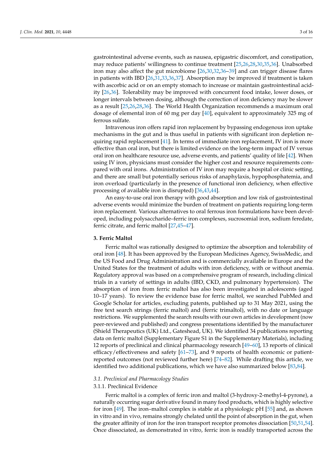gastrointestinal adverse events, such as nausea, epigastric discomfort, and constipation, may reduce patients' willingness to continue treatment [\[25](#page-13-15)[,26](#page-13-16)[,28](#page-13-18)[,30](#page-14-2)[,35](#page-14-3)[,36\]](#page-14-1). Unabsorbed iron may also affect the gut microbiome [\[26](#page-13-16)[,30](#page-14-2)[,32](#page-14-0)[,36](#page-14-1)[–39\]](#page-14-4) and can trigger disease flares in patients with IBD [\[26,](#page-13-16)[31](#page-14-5)[,33,](#page-14-6)[36](#page-14-1)[,37\]](#page-14-7). Absorption may be improved if treatment is taken with ascorbic acid or on an empty stomach to increase or maintain gastrointestinal acidity [\[26,](#page-13-16)[36\]](#page-14-1). Tolerability may be improved with concurrent food intake, lower doses, or longer intervals between dosing, although the correction of iron deficiency may be slower as a result [\[25,](#page-13-15)[26,](#page-13-16)[28,](#page-13-18)[36\]](#page-14-1). The World Health Organization recommends a maximum oral dosage of elemental iron of 60 mg per day [\[40\]](#page-14-8), equivalent to approximately 325 mg of ferrous sulfate.

Intravenous iron offers rapid iron replacement by bypassing endogenous iron uptake mechanisms in the gut and is thus useful in patients with significant iron depletion requiring rapid replacement [\[41\]](#page-14-9). In terms of immediate iron replacement, IV iron is more effective than oral iron, but there is limited evidence on the long-term impact of IV versus oral iron on healthcare resource use, adverse events, and patients' quality of life [\[42\]](#page-14-10). When using IV iron, physicians must consider the higher cost and resource requirements compared with oral irons. Administration of IV iron may require a hospital or clinic setting, and there are small but potentially serious risks of anaphylaxis, hypophosphatemia, and iron overload (particularly in the presence of functional iron deficiency, when effective processing of available iron is disrupted) [\[36,](#page-14-1)[43,](#page-14-11)[44\]](#page-14-12).

An easy-to-use oral iron therapy with good absorption and low risk of gastrointestinal adverse events would minimize the burden of treatment on patients requiring long-term iron replacement. Various alternatives to oral ferrous iron formulations have been developed, including polysaccharide–ferric iron complexes, sucrosomial iron, sodium feredate, ferric citrate, and ferric maltol [\[27,](#page-13-17)[45](#page-14-13)[–47\]](#page-14-14).

#### **3. Ferric Maltol**

Ferric maltol was rationally designed to optimize the absorption and tolerability of oral iron [\[48\]](#page-14-15). It has been approved by the European Medicines Agency, SwissMedic, and the US Food and Drug Administration and is commercially available in Europe and the United States for the treatment of adults with iron deficiency, with or without anemia. Regulatory approval was based on a comprehensive program of research, including clinical trials in a variety of settings in adults (IBD, CKD, and pulmonary hypertension). The absorption of iron from ferric maltol has also been investigated in adolescents (aged 10–17 years). To review the evidence base for ferric maltol, we searched PubMed and Google Scholar for articles, excluding patents, published up to 31 May 2021, using the free text search strings (ferric maltol) and (ferric trimaltol), with no date or language restrictions. We supplemented the search results with our own articles in development (now peer-reviewed and published) and congress presentations identified by the manufacturer (Shield Therapeutics (UK) Ltd., Gateshead, UK). We identified 34 publications reporting data on ferric maltol (Supplementary Figure S1 in the Supplementary Materials), including 12 reports of preclinical and clinical pharmacology research [\[49](#page-14-16)[–60\]](#page-15-0), 13 reports of clinical efficacy/effectiveness and safety [\[61](#page-15-1)[–73\]](#page-15-2), and 9 reports of health economic or patientreported outcomes (not reviewed further here) [\[74–](#page-15-3)[82\]](#page-16-0). While drafting this article, we identified two additional publications, which we have also summarized below [\[83,](#page-16-1)[84\]](#page-16-2).

#### *3.1. Preclinical and Pharmacology Studies*

#### 3.1.1. Preclinical Evidence

Ferric maltol is a complex of ferric iron and maltol (3-hydroxy-2-methyl-4-pyrone), a naturally occurring sugar derivative found in many food products, which is highly selective for iron [\[49\]](#page-14-16). The iron–maltol complex is stable at a physiologic pH [\[55\]](#page-14-17) and, as shown in vitro and in vivo, remains strongly chelated until the point of absorption in the gut, when the greater affinity of iron for the iron transport receptor promotes dissociation [\[50](#page-14-18)[,51,](#page-14-19)[54\]](#page-14-20). Once dissociated, as demonstrated in vitro, ferric iron is readily transported across the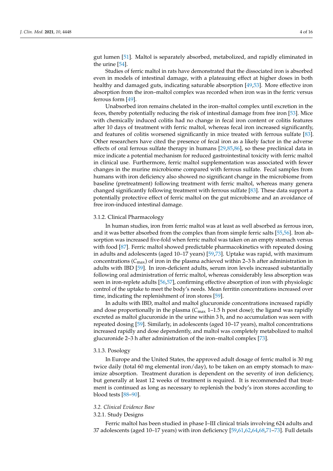gut lumen [\[51\]](#page-14-19). Maltol is separately absorbed, metabolized, and rapidly eliminated in the urine [\[54\]](#page-14-20).

Studies of ferric maltol in rats have demonstrated that the dissociated iron is absorbed even in models of intestinal damage, with a plateauing effect at higher doses in both healthy and damaged guts, indicating saturable absorption [\[49,](#page-14-16)[53\]](#page-14-21). More effective iron absorption from the iron–maltol complex was recorded when iron was in the ferric versus ferrous form [\[49\]](#page-14-16).

Unabsorbed iron remains chelated in the iron–maltol complex until excretion in the feces, thereby potentially reducing the risk of intestinal damage from free iron [\[53\]](#page-14-21). Mice with chemically induced colitis had no change in fecal iron content or colitis features after 10 days of treatment with ferric maltol, whereas fecal iron increased significantly, and features of colitis worsened significantly in mice treated with ferrous sulfate [\[83\]](#page-16-1). Other researchers have cited the presence of fecal iron as a likely factor in the adverse effects of oral ferrous sulfate therapy in humans [\[29,](#page-13-19)[85,](#page-16-3)[86\]](#page-16-4), so these preclinical data in mice indicate a potential mechanism for reduced gastrointestinal toxicity with ferric maltol in clinical use. Furthermore, ferric maltol supplementation was associated with fewer changes in the murine microbiome compared with ferrous sulfate. Fecal samples from humans with iron deficiency also showed no significant change in the microbiome from baseline (pretreatment) following treatment with ferric maltol, whereas many genera changed significantly following treatment with ferrous sulfate [\[83\]](#page-16-1). These data support a potentially protective effect of ferric maltol on the gut microbiome and an avoidance of free iron-induced intestinal damage.

#### 3.1.2. Clinical Pharmacology

In human studies, iron from ferric maltol was at least as well absorbed as ferrous iron, and it was better absorbed from the complex than from simple ferric salts [\[55](#page-14-17)[,56\]](#page-14-22). Iron absorption was increased five-fold when ferric maltol was taken on an empty stomach versus with food [\[87\]](#page-16-5). Ferric maltol showed predictable pharmacokinetics with repeated dosing in adults and adolescents (aged 10–17 years) [\[59](#page-15-4)[,73\]](#page-15-2). Uptake was rapid, with maximum concentrations ( $C_{\text{max}}$ ) of iron in the plasma achieved within 2–3 h after administration in adults with IBD [\[59\]](#page-15-4). In iron-deficient adults, serum iron levels increased substantially following oral administration of ferric maltol, whereas considerably less absorption was seen in iron-replete adults [\[56](#page-14-22)[,57\]](#page-14-23), confirming effective absorption of iron with physiologic control of the uptake to meet the body's needs. Mean ferritin concentrations increased over time, indicating the replenishment of iron stores [\[59\]](#page-15-4).

In adults with IBD, maltol and maltol glucuronide concentrations increased rapidly and dose proportionally in the plasma  $(C_{\text{max}} 1$ –1.5 h post dose); the ligand was rapidly excreted as maltol glucuronide in the urine within 3 h, and no accumulation was seen with repeated dosing [\[59\]](#page-15-4). Similarly, in adolescents (aged 10–17 years), maltol concentrations increased rapidly and dose dependently, and maltol was completely metabolized to maltol glucuronide 2–3 h after administration of the iron–maltol complex [\[73\]](#page-15-2).

#### 3.1.3. Posology

In Europe and the United States, the approved adult dosage of ferric maltol is 30 mg twice daily (total 60 mg elemental iron/day), to be taken on an empty stomach to maximize absorption. Treatment duration is dependent on the severity of iron deficiency, but generally at least 12 weeks of treatment is required. It is recommended that treatment is continued as long as necessary to replenish the body's iron stores according to blood tests [\[88–](#page-16-6)[90\]](#page-16-7).

### *3.2. Clinical Evidence Base*

#### 3.2.1. Study Designs

Ferric maltol has been studied in phase I–III clinical trials involving 624 adults and 37 adolescents (aged 10–17 years) with iron deficiency [\[59](#page-15-4)[,61](#page-15-1)[,62](#page-15-5)[,64](#page-15-6)[,68](#page-15-7)[,71–](#page-15-8)[73\]](#page-15-2). Full details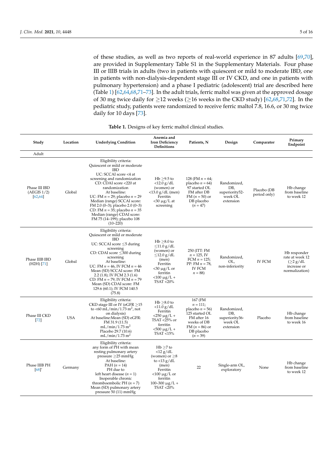of these studies, as well as two reports of real-world experience in 87 adults [\[69,](#page-15-9)[70\]](#page-15-10), are provided in Supplementary Table S1 in the Supplementary Materials. Four phase III or IIIB trials in adults (two in patients with quiescent or mild to moderate IBD, one in patients with non-dialysis-dependent stage III or IV CKD, and one in patients with pulmonary hypertension) and a phase I pediatric (adolescent) trial are described here (Table [1\)](#page-6-0) [\[62](#page-15-5)[,64,](#page-15-6)[68,](#page-15-7)[71](#page-15-8)[–73\]](#page-15-2). In the adult trials, ferric maltol was given at the approved dosage of 30 mg twice daily for  $\geq$ 12 weeks ( $\geq$ 16 weeks in the CKD study) [\[62](#page-15-5)[,68](#page-15-7)[,71](#page-15-8)[,72\]](#page-15-11). In the pediatric study, patients were randomized to receive ferric maltol 7.8, 16.6, or 30 mg twice daily for 10 days [\[73\]](#page-15-2).

| Study                                    | Location   | <b>Underlying Condition</b>                                                                                                                                                                                                                                                                                                                                                                                        | Anemia and<br><b>Iron Deficiency</b><br><b>Definitions</b>                                                                                                        | Patients, N                                                                                                                                 | Design                                                       | Comparator                  | Primary<br>Endpoint                                                                 |
|------------------------------------------|------------|--------------------------------------------------------------------------------------------------------------------------------------------------------------------------------------------------------------------------------------------------------------------------------------------------------------------------------------------------------------------------------------------------------------------|-------------------------------------------------------------------------------------------------------------------------------------------------------------------|---------------------------------------------------------------------------------------------------------------------------------------------|--------------------------------------------------------------|-----------------------------|-------------------------------------------------------------------------------------|
| Adult                                    |            |                                                                                                                                                                                                                                                                                                                                                                                                                    |                                                                                                                                                                   |                                                                                                                                             |                                                              |                             |                                                                                     |
| Phase III IBD<br>(AEGIS 1/2)<br>[62, 64] | Global     | Eligibility criteria:<br>Quiescent or mild or moderate<br><b>IBD</b><br>UC: SCCAI score <4 at<br>screening and randomization<br>CD: CDAI score <220 at<br>randomization<br>At baseline:<br>UC: FM $n = 29$ ; placebo $n = 29$<br>Median (range) SCCAI score:<br>FM 2.0 (0-3); placebo 2.0 (0-3)<br>CD: FM $n = 35$ ; placebo $n = 35$<br>Median (range) CDAI score:<br>FM 75 (14-199); placebo 108<br>$(10 - 220)$ | Hb $\geq$ 9.5 to<br>$<$ 12.0 g/dL<br>(women) or<br>$<$ 13.0 g/dL (men)<br>Ferritin<br>$<$ 30 µg/L at<br>screening                                                 | 128 (FM $n = 64$ )<br>placebo $n = 64$ )<br>97 started OL<br>FM after DB<br>FM $(n = 50)$ or<br>DB placebo<br>$(n = 47)$                    | Randomized,<br>DB,<br>superiority52-<br>week OL<br>extension | Placebo (DB<br>period only) | Hb change<br>from baseline<br>to week 12                                            |
| Phase IIIB IBD<br>$(H2H)$ [71]           | Global     | Eligibility criteria:<br>Quiescent or mild or moderate<br><b>IBD</b><br>UC: SCCAI score $\leq$ 5 during<br>screening<br>CD: CDAI score $\leq$ 300 during<br>screening<br>At baseline:<br>UC: FM $n = 46$ , IV FCM $n = 46$<br>Mean (SD) SCCAI score: FM<br>2.2 (1.8); IV FCM 2.3 (1.6)<br>CD: FM $n = 79$ , IV FCM $n = 79$<br>Mean (SD) CDAI score: FM<br>129.6 (60.1); IV FCM 140.5<br>(75.8)                    | $Hb \geq 8.0$ to<br>$\leq$ 11.0 g/dL<br>(women) or<br>$\leq$ 12.0 g/dL<br>(men)<br>Ferritin<br>$<$ 30 µg/L or<br>ferritin<br>$< 100 \mu g/L +$<br>TSAT <20%       | 250 (ITT: FM<br>$n = 125$ , IV<br>FCM $n = 125$ ;<br>PP: FM $n = 78$ ,<br><b>IV FCM</b><br>$n = 88$                                         | Randomized,<br>OL,<br>non-inferiority                        | <b>IV FCM</b>               | Hb responder<br>rate at week 12<br>$(\geq 2 g/dL)$<br>increase or<br>normalization) |
| Phase III CKD<br>[72]                    | <b>USA</b> | Eligibility criteria:<br>CKD stage III or IV (eGFR $\geq$ 15<br>to <60 mL/min/1.73 m <sup>2</sup> , not<br>on dialysis)<br>At baseline: Mean (SD) eGFR:<br>FM 31.9 (11.5)<br>mL/min/1.73 m <sup>2</sup><br>Placebo 29.7 (10.6)<br>mL/min/1.73 m <sup>2</sup>                                                                                                                                                       | $Hb \geq 8.0$ to<br>$<$ 11.0 g/dL<br>Ferritin<br>$<$ 250 $\mu$ g/L +<br>TSAT <25% or<br>ferritin<br><500 μg/L +<br>TSAT <15%                                      | 167 (FM<br>$n = 111;$<br>placebo $n = 56$ )<br>125 started OL<br>FM after 16<br>weeks of DB<br>FM $(n = 86)$ or<br>DB placebo<br>$(n = 39)$ | Randomized,<br>DB,<br>superiority36-<br>week OL<br>extension | Placebo                     | Hb change<br>from baseline<br>to week 16                                            |
| Phase IIIB PH<br>[68]'                   | Germany    | Eligibility criteria:<br>any form of PH with mean<br>resting pulmonary artery<br>pressure $\geq$ 25 mmHg<br>At baseline:<br>PAH $(n = 14)$<br>PH due to<br>left heart disease $(n = 1)$<br>Inoperable chronic<br>thromboembolic PH $(n = 7)$<br>Mean (SD) pulmonary artery<br>pressure $50(11)$ mmHg                                                                                                               | $Hb > 7$ to<br>$<$ 12 g/dL<br>(women) or $\geq 8$<br>to $<$ 13 g/dL<br>(men)<br>Ferritin<br>$<$ 100 µg/L or<br>ferritin<br>$100 - 300 \mu g/L +$<br>$TSAT < 20\%$ | 22                                                                                                                                          | Single-arm OL,<br>exploratory                                | None                        | Hb change<br>from baseline<br>to week 12                                            |

#### **Table 1.** Designs of key ferric maltol clinical studies.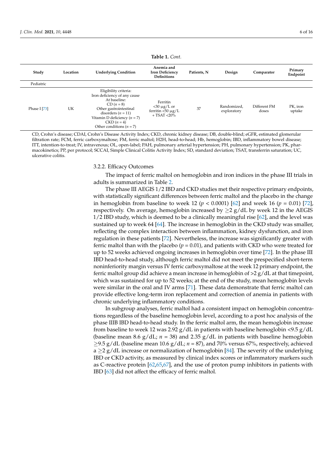<span id="page-6-0"></span>

| Study          | Location | <b>Underlying Condition</b>                                                                                                                                                                                              | Anemia and<br><b>Iron Deficiency</b><br><b>Definitions</b>          | Patients, N | Design                     | Comparator            | Primary<br>Endpoint |
|----------------|----------|--------------------------------------------------------------------------------------------------------------------------------------------------------------------------------------------------------------------------|---------------------------------------------------------------------|-------------|----------------------------|-----------------------|---------------------|
| Pediatric      |          |                                                                                                                                                                                                                          |                                                                     |             |                            |                       |                     |
| Phase I $[73]$ | UK       | Eligibility criteria:<br>Iron deficiency of any cause<br>At baseline:<br>$CD (n = 8)$<br>Other gastrointestinal<br>disorders $(n = 11)$<br>Vitamin D deficiency $(n = 7)$<br>$CKD (n = 4)$<br>Other conditions $(n = 7)$ | Ferritin<br>$<$ 30 µg/L or<br>ferritin $<$ 50 µg/L<br>$+$ TSAT <20% | 37          | Randomized,<br>exploratory | Different FM<br>doses | PK, iron<br>uptake  |

**Table 1.** *Cont.*

CD, Crohn's disease; CDAI, Crohn's Disease Activity Index; CKD, chronic kidney disease; DB, double-blind; eGFR, estimated glomerular filtration rate; FCM, ferric carboxymaltose; FM, ferric maltol; H2H, head-to-head; Hb, hemoglobin; IBD, inflammatory bowel disease; ITT, intention-to-treat; IV, intravenous; OL, open-label; PAH, pulmonary arterial hypertension; PH, pulmonary hypertension; PK, pharmacokinetics; PP, per protocol; SCCAI, Simple Clinical Colitis Activity Index; SD, standard deviation; TSAT, transferrin saturation; UC, ulcerative colitis.

3.2.2. Efficacy Outcomes

The impact of ferric maltol on hemoglobin and iron indices in the phase III trials in adults is summarized in Table [2.](#page-8-0)

The phase III AEGIS 1/2 IBD and CKD studies met their respective primary endpoints, with statistically significant differences between ferric maltol and the placebo in the change in hemoglobin from baseline to week 12 ( $p < 0.0001$ ) [\[62\]](#page-15-5) and week 16 ( $p = 0.01$ ) [\[72\]](#page-15-11), respectively. On average, hemoglobin increased by  $\geq 2$  g/dL by week 12 in the AEGIS 1/2 IBD study, which is deemed to be a clinically meaningful rise [\[62\]](#page-15-5), and the level was sustained up to week 64 [\[64\]](#page-15-6). The increase in hemoglobin in the CKD study was smaller, reflecting the complex interaction between inflammation, kidney dysfunction, and iron regulation in these patients [\[72\]](#page-15-11). Nevertheless, the increase was significantly greater with ferric maltol than with the placebo  $(p = 0.01)$ , and patients with CKD who were treated for up to 52 weeks achieved ongoing increases in hemoglobin over time [\[72\]](#page-15-11). In the phase III IBD head-to-head study, although ferric maltol did not meet the prespecified short-term noninferiority margin versus IV ferric carboxymaltose at the week 12 primary endpoint, the ferric maltol group did achieve a mean increase in hemoglobin of  $>2$  g/dL at that timepoint, which was sustained for up to 52 weeks; at the end of the study, mean hemoglobin levels were similar in the oral and IV arms [\[71\]](#page-15-8). These data demonstrate that ferric maltol can provide effective long-term iron replacement and correction of anemia in patients with chronic underlying inflammatory conditions.

In subgroup analyses, ferric maltol had a consistent impact on hemoglobin concentrations regardless of the baseline hemoglobin level, according to a post hoc analysis of the phase IIIB IBD head-to-head study. In the ferric maltol arm, the mean hemoglobin increase from baseline to week 12 was  $2.92 \text{ g}/d\text{L}$  in patients with baseline hemoglobin  $\langle 9.5 \text{ g}/d\text{L}$ (baseline mean 8.6  $g/dL$ ;  $n = 38$ ) and 2.35  $g/dL$  in patients with baseline hemoglobin ≥9.5 g/dL (baseline mean 10.6 g/dL; *n* = 87), and 70% versus 67%, respectively, achieved a  $\geq$  2 g/dL increase or normalization of hemoglobin [\[84\]](#page-16-2). The severity of the underlying IBD or CKD activity, as measured by clinical index scores or inflammatory markers such as C-reactive protein [\[62,](#page-15-5)[65,](#page-15-12)[67\]](#page-15-13), and the use of proton pump inhibitors in patients with IBD [\[63\]](#page-15-14) did not affect the efficacy of ferric maltol.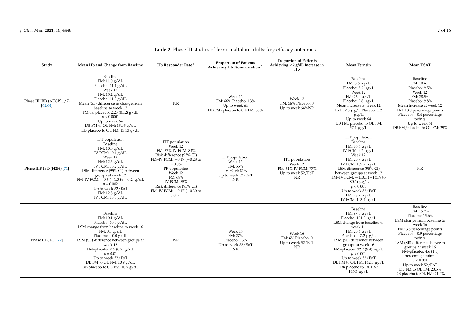| Study                                 | Mean Hb and Change from Baseline                                                                                                                                                                                                                                                                                        | Hb Responder Rate <sup>1</sup>                                                                                                                                                                                                                                                  | <b>Proportion of Patients</b><br>Achieving Hb Normalization <sup>2</sup>              | <b>Proportion of Patients</b><br>Achieving $\geq$ 2 g/dL Increase in<br>Hb  | <b>Mean Ferritin</b>                                                                                                                                                                                                                                                                                                                                          | <b>Mean TSAT</b>                                                                                                                                                                                                                                                                                                                                  |
|---------------------------------------|-------------------------------------------------------------------------------------------------------------------------------------------------------------------------------------------------------------------------------------------------------------------------------------------------------------------------|---------------------------------------------------------------------------------------------------------------------------------------------------------------------------------------------------------------------------------------------------------------------------------|---------------------------------------------------------------------------------------|-----------------------------------------------------------------------------|---------------------------------------------------------------------------------------------------------------------------------------------------------------------------------------------------------------------------------------------------------------------------------------------------------------------------------------------------------------|---------------------------------------------------------------------------------------------------------------------------------------------------------------------------------------------------------------------------------------------------------------------------------------------------------------------------------------------------|
| Phase III IBD (AEGIS 1/2)<br>[62, 64] | Baseline<br>FM: 11.0 g/dL<br>Placebo: 11.1 g/dL<br>Week 12<br>FM: 13.2 g/dL<br>Placebo: 11.2 g/dL<br>Mean (SE) difference in change from<br>baseline to week 12<br>FM vs. placebo: 2.25 (0.12) $g/dL$<br>p < 0.0001<br>Up to week 64<br>DB FM to OL FM: 13.95 g/dL<br>DB placebo to OL FM: 13.33 g/dL                   | <b>NR</b>                                                                                                                                                                                                                                                                       | Week 12<br>FM: 66% Placebo: 13%<br>Up to week 64<br>DB FM/placebo to OL FM: 86%       | Week 12<br>FM: 56% Placebo: 0<br>Up to week 64%NR                           | Baseline<br>FM: $8.6 \mu g/L$<br>Placebo: $8.2 \mu g/L$<br>Week 12<br>FM: $26.0 \mu g/L$<br>Placebo: $9.8 \mu g/L$<br>Mean increase at week 12<br>FM: 17.3 μg/L Placebo: 1.2<br>$\mu g/L$<br>Up to week 64<br>DB FM/placebo to OL FM:<br>$57.4 \mu g/L$                                                                                                       | Baseline<br>FM: 10.6%<br>Placebo: 9.5%<br>Week 12<br>FM: 28.5%<br>Placebo: 9.8%<br>Mean increase at week 12<br>FM: 18.0 percentage points<br>Placebo: $-0.4$ percentage<br>points<br>Up to week 64<br>DB FM/placebo to OL FM: 29%                                                                                                                 |
| Phase IIIB IBD (H2H) [71]             | ITT population<br>Baseline<br>FM: 10.0 g/dL<br>IV FCM: 10.1 g/dL<br>Week 12<br>FM: $12.5$ g/dL<br>IV FCM: 13.2 g/dL<br>LSM difference (95% CI) between<br>groups at week 12<br>FM-IV FCM: $-0.6$ ( $-1.0$ to $-0.2$ ) g/dL<br>$p = 0.002$<br>Up to week 52/EoT<br>FM: 12.8 g/dL<br>IV FCM: $13.0 \text{ g}/\text{dL}$   | ITT population<br>Week 12<br>FM: 67% IV FCM: 84%<br>Risk difference (95% CI)<br>FM-IV FCM: $-0.17$ ( $-0.28$ to<br>$-0.06$<br>PP population<br>Week 12<br>FM: 68%<br><b>IV FCM: 85%</b><br>Risk difference (95% CI)<br>FM-IV FCM: $-0.17$ ( $-0.30$ to<br>$0.05$ ) <sup>3</sup> | ITT population<br>Week 12<br>FM: 55%<br><b>IV FCM: 81%</b><br>Up to week 52/EoT<br>NR | ITT population<br>Week 12<br>FM: 61% IV FCM: 77%<br>Up to week 52/EoT<br>NR | ITT population<br>Baseline<br>FM: $16.6 \mu g/L$<br>IV FCM: $9.2 \mu g/L$<br>Week 12<br>FM: $25.7 \mu g/L$<br>IV FCM: 139.2 μg/L<br>LSM difference (95% CI)<br>between groups at week 12<br>FM-IV FCM: $-113.1$ ( $-145.9$ to<br>$-80.2) \mu g/L$<br>p < 0.001<br>Up to week 52/EoT<br>FM: $78.9 \mu g/L$<br>IV FCM: 103.4 μg/L                               | <b>NR</b>                                                                                                                                                                                                                                                                                                                                         |
| Phase III CKD [72]                    | Baseline<br>FM: 10.1 g/dL<br>Placebo: $10.0 g/dL$<br>LSM change from baseline to week 16<br>FM: 0.5 g/dL<br>Placebo: $-0.0$ g/dL<br>LSM (SE) difference between groups at<br>week 16<br>FM-placebo: $0.5(0.2)$ g/dL<br>$p = 0.01$<br>Up to week 52/EoT<br>DB FM to OL FM: $10.9 g/dL$<br>DB placebo to OL FM: 10.9 g/dL | <b>NR</b>                                                                                                                                                                                                                                                                       | Week 16<br>FM: 27%<br>Placebo: 13%<br>Up to week 52/EoT<br>NR                         | Week 16<br>FM: 6% Placebo: 0<br>Up to week 52/EoT<br>NR                     | Baseline<br>$FM: 97.0 \mu g/L$<br>Placebo: $104.2 \mu g/L$<br>LSM change from baseline to<br>week 16<br>FM: $25.4 \mu g/L$<br>Placebo: $-7.2 \mu g/L$<br>LSM (SE) difference between<br>groups at week 16<br>FM-placebo: 32.7 (9.4) $\mu$ g/L<br>p < 0.001<br>Up to week 52/EoT<br>DB FM to OL FM: $142.5 \mu g/L$<br>DB placebo to OL FM:<br>$146.3 \mu g/L$ | Baseline<br>FM: 15.7%<br>Placebo: 15.6%<br>LSM change from baseline to<br>week 16<br>FM: 3.8 percentage points<br>Placebo: $-0.9$ percentage<br>points<br>LSM (SE) difference between<br>groups at week 16<br>FM-placebo: 4.6 (1.1)<br>percentage points<br>p < 0.001<br>Up to week 52/EoT<br>DB FM to OL FM: 23.5%<br>DB placebo to OL FM: 21.4% |

**Table 2.** Phase III studies of ferric maltol in adults: key efficacy outcomes.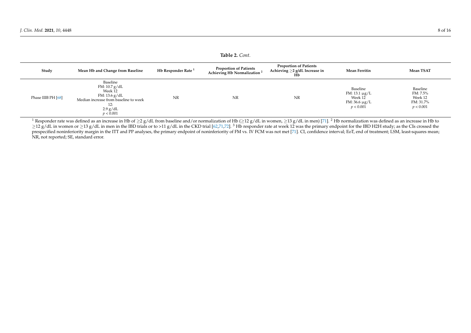| Taple 2. Cont.     |                                                                                                                                  |                                |                                                                          |                                                                      |                                                                    |                                                           |  |
|--------------------|----------------------------------------------------------------------------------------------------------------------------------|--------------------------------|--------------------------------------------------------------------------|----------------------------------------------------------------------|--------------------------------------------------------------------|-----------------------------------------------------------|--|
| Study              | Mean Hb and Change from Baseline                                                                                                 | Hb Responder Rate <sup>1</sup> | <b>Proportion of Patients</b><br>Achieving Hb Normalization <sup>2</sup> | <b>Proportion of Patients</b><br>Achieving $\geq$ 2 g/dL Increase in | <b>Mean Ferritin</b>                                               | Mean TSAT                                                 |  |
| Phase IIIB PH [68] | Baseline<br>FM: 10.7 g/dL<br>Week 12<br>FM: 13.6 g/dL<br>Median increase from baseline to week<br>12:<br>$2.9$ g/dL<br>p < 0.001 | NR                             | NR                                                                       | NR                                                                   | Baseline<br>FM: 13.1 μg/L<br>Week 12<br>FM: 36.6 μg/L<br>p < 0.001 | Baseline<br>FM: 7.5%<br>Week 12<br>FM: 31.7%<br>p < 0.001 |  |

**Table 2.** *Cont.*

<span id="page-8-0"></span><sup>1</sup> Responder rate was defined as an increase in Hb of  $\geq 2$  g/dL from baseline and/or normalization of Hb ( $\geq 12$  g/dL in women,  $\geq 13$  g/dL in men) [\[71\]](#page-15-17). <sup>2</sup> Hb normalization was defined as an increase in Hb to  $\geq$ 12 g/dL in women or ≥13 g/dL in men in the IBD trials or to >11 g/dL in the CKD trial [\[62](#page-15-15)[,71](#page-15-17)[,72\]](#page-15-18). <sup>3</sup> Hb responder rate at week 12 was the primary endpoint for the IBD H2H study; as the CIs crossed the prespecified noninferiority margin in the ITT and PP analyses, the primary endpoint of noninferiority of FM vs. IV FCM was not met [\[71\]](#page-15-17). CI, confidence interval; EoT, end of treatment; LSM, least-squares mean; NR, not reported; SE, standard error.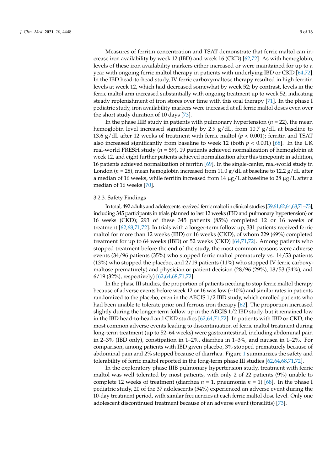Measures of ferritin concentration and TSAT demonstrate that ferric maltol can increase iron availability by week 12 (IBD) and week 16 (CKD) [\[62,](#page-15-5)[72\]](#page-15-11). As with hemoglobin, levels of these iron availability markers either increased or were maintained for up to a year with ongoing ferric maltol therapy in patients with underlying IBD or CKD [\[64,](#page-15-6)[72\]](#page-15-11). In the IBD head-to-head study, IV ferric carboxymaltose therapy resulted in high ferritin levels at week 12, which had decreased somewhat by week 52; by contrast, levels in the ferric maltol arm increased substantially with ongoing treatment up to week 52, indicating steady replenishment of iron stores over time with this oral therapy [\[71\]](#page-15-8). In the phase I pediatric study, iron availability markers were increased at all ferric maltol doses even over the short study duration of 10 days [\[73\]](#page-15-2).

In the phase IIIB study in patients with pulmonary hypertension  $(n = 22)$ , the mean hemoglobin level increased significantly by 2.9 g/dL, from 10.7 g/dL at baseline to 13.6 g/dL after 12 weeks of treatment with ferric maltol  $(p < 0.001)$ ; ferritin and TSAT also increased significantly from baseline to week 12 (both *p* < 0.001) [\[68\]](#page-15-7). In the UK real-world FRESH study (*n* = 59), 19 patients achieved normalization of hemoglobin at week 12, and eight further patients achieved normalization after this timepoint; in addition, 16 patients achieved normalization of ferritin [\[69\]](#page-15-9). In the single-center, real-world study in London (*n* = 28), mean hemoglobin increased from 11.0 g/dL at baseline to 12.2 g/dL after a median of 16 weeks, while ferritin increased from 14  $\mu$ g/L at baseline to 28  $\mu$ g/L after a median of 16 weeks [\[70\]](#page-15-10).

#### 3.2.3. Safety Findings

In total, 492 adults and adolescents received ferric maltol in clinical studies [\[59,](#page-15-4)[61,](#page-15-1)[62](#page-15-5)[,64](#page-15-6)[,68](#page-15-7)[,71–](#page-15-8)[73\]](#page-15-2), including 345 participants in trials planned to last 12 weeks (IBD and pulmonary hypertension) or 16 weeks (CKD); 293 of these 345 patients (85%) completed 12 or 16 weeks of treatment [\[62,](#page-15-5)[68,](#page-15-7)[71,](#page-15-8)[72\]](#page-15-11). In trials with a longer-term follow up, 331 patients received ferric maltol for more than 12 weeks (IBD) or 16 weeks (CKD), of whom 229 (69%) completed treatment for up to 64 weeks (IBD) or 52 weeks (CKD) [\[64](#page-15-6)[,71](#page-15-8)[,72\]](#page-15-11). Among patients who stopped treatment before the end of the study, the most common reasons were adverse events (34/96 patients (35%) who stopped ferric maltol prematurely vs. 14/53 patients (13%) who stopped the placebo, and 2/19 patients (11%) who stopped IV ferric carboxymaltose prematurely) and physician or patient decision (28/96 (29%), 18/53 (34%), and 6/19 (32%), respectively) [\[62,](#page-15-5)[64,](#page-15-6)[68,](#page-15-7)[71,](#page-15-8)[72\]](#page-15-11).

In the phase III studies, the proportion of patients needing to stop ferric maltol therapy because of adverse events before week 12 or 16 was low (~10%) and similar rates in patients randomized to the placebo, even in the AEGIS 1/2 IBD study, which enrolled patients who had been unable to tolerate prior oral ferrous iron therapy [\[62\]](#page-15-5). The proportion increased slightly during the longer-term follow up in the AEGIS 1/2 IBD study, but it remained low in the IBD head-to-head and CKD studies [\[62,](#page-15-5)[64,](#page-15-6)[71,](#page-15-8)[72\]](#page-15-11). In patients with IBD or CKD, the most common adverse events leading to discontinuation of ferric maltol treatment during long-term treatment (up to 52–64 weeks) were gastrointestinal, including abdominal pain in 2–3% (IBD only), constipation in 1–2%, diarrhea in 1–3%, and nausea in 1–2%. For comparison, among patients with IBD given placebo, 3% stopped prematurely because of abdominal pain and 2% stopped because of diarrhea. Figure [1](#page-10-0) summarizes the safety and tolerability of ferric maltol reported in the long-term phase III studies [\[62,](#page-15-5)[64,](#page-15-6)[68](#page-15-7)[,71](#page-15-8)[,72\]](#page-15-11).

In the exploratory phase IIIB pulmonary hypertension study, treatment with ferric maltol was well tolerated by most patients, with only 2 of 22 patients (9%) unable to complete 12 weeks of treatment (diarrhea  $n = 1$ , pneumonia  $n = 1$ ) [\[68\]](#page-15-7). In the phase I pediatric study, 20 of the 37 adolescents (54%) experienced an adverse event during the 10-day treatment period, with similar frequencies at each ferric maltol dose level. Only one adolescent discontinued treatment because of an adverse event (tonsilitis) [\[73\]](#page-15-2).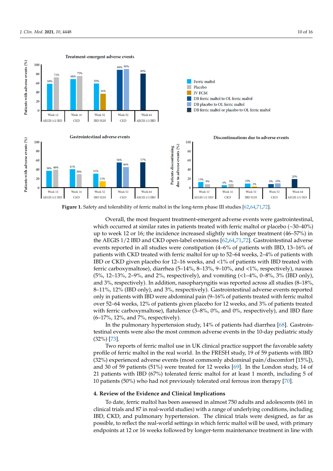<span id="page-10-0"></span>

**Figure 1.** Safety and tolerability of ferric maltol in the long-term phase III studies [62,64,71,72]. **Figure 1.** Safety and tolerability of ferric maltol in the long-term phase III studies [\[62](#page-15-5)[,64,](#page-15-6)[71,](#page-15-8)[72\]](#page-15-11).

exploration study, the meeting parameter energies to all the research were gas absorbanced at similar rates in patients treated with ferric maltol or placebo (~30–40%) mach cecanon at similar rates in patients treated with refere matter or places  $(98 \text{ m/s})$  up to week 12 or 16; the incidence increased slightly with longer treatment (46–57%) in the AEGIS 1/2 IBD and CKD open-label extensions [\[62,](#page-15-5)[64,](#page-15-6)[71](#page-15-8)[,72\]](#page-15-11). Gastrointestinal adverse events reported in all studies were constipation  $(4-6%$  of patients with IBD, 13–16% of patients with CKD treated with ferric maltol for up to 52–64 weeks, 2–4% of patients with IBD or CKD given placebo for 12–16 weeks, and <1% of patients with IBD treated with ferric carboxymaltose), diarrhea (5–14%, 8–13%, 9–10%, and <1%, respectively), nausea (5%, 12–13%, 2–9%, and 2%, respectively), and vomiting (<1–4%, 0–8%, 3% (IBD only), and 3%, respectively). In addition, nasopharyngitis was reported across all studies (8-18%, 8-11%, 12% (IBD only), and 3%, respectively). Gastrointestinal adverse events reported only in patients with IBD were abdominal pain (9-16% of patients treated with ferric maltol over 52–64 weeks, 12% of patients given placebo for 12 weeks, and 3% of patients treated with ferric carboxymaltose), flatulence (3-8%, 0%, and 0%, respectively), and IBD flare  $(6-17\%, 12\%, \text{ and } 7\%, \text{ respectively}).$ Overall, the most frequent treatment-emergent adverse events were gastrointestinal,

In the pulmonary hypertension study, 14% of patients had diarrhea [\[68\]](#page-15-7). Gastrointestinal events were also the most common adverse events in the 10-day pediatric study 11%, 1[2%](#page-15-2) (IBD only), and 3%, respectively). Gastrointestinal adverse events reported only (32%) [73].

Two reports of ferric maltol use in UK clinical practice support the favorable safety profile of ferric maltol in the real world. In the FRESH study, 19 of 59 patients with IBD (32%) experienced adverse events (most commonly abdominal pain/discomfort [15%]), and 30 of 59 patients (51%) were treated for 12 weeks [\[69\]](#page-15-9). In the London study, 14 of 21 patients with IBD (67%) tolerated ferric maltol for at least 1 month, including 5 of 10 patients (50%) who had not previously tolerated oral ferrous iron therapy [70].

# **4. Review of the Evidence and Clinical Implications**

To date, ferric maltol has been assessed in almost 750 adults and adolescents (661 in clinical trials and 87 in real-world studies) with a range of underlying conditions, including To date, ferric maltol has been assessed in almost 750 adults and adolescents (661 in clinical trials and 87 in real-world studies) with a range of underlying conditions, including IBD, CKD, and pulmonary hypertension. The possible, to reflect the real-world settings in which ferric maltol will be used, with primary endpoints at 12 or 16 weeks followed by longer-term maintenance treatment in line with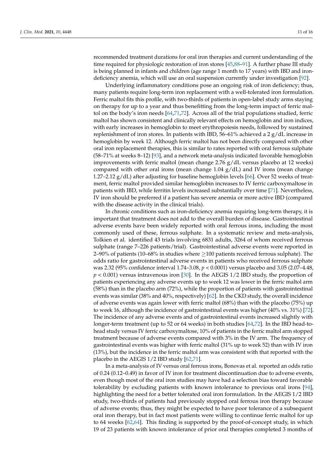recommended treatment durations for oral iron therapies and current understanding of the time required for physiologic restoration of iron stores [\[45](#page-14-13)[,88–](#page-16-6)[91\]](#page-16-8). A further phase III study is being planned in infants and children (age range 1 month to 17 years) with IBD and irondeficiency anemia, which will use an oral suspension currently under investigation [\[92\]](#page-16-9).

Underlying inflammatory conditions pose an ongoing risk of iron deficiency; thus, many patients require long-term iron replacement with a well-tolerated iron formulation. Ferric maltol fits this profile, with two-thirds of patients in open-label study arms staying on therapy for up to a year and thus benefitting from the long-term impact of ferric maltol on the body's iron needs [\[64](#page-15-6)[,71](#page-15-8)[,72\]](#page-15-11). Across all of the trial populations studied, ferric maltol has shown consistent and clinically relevant effects on hemoglobin and iron indices, with early increases in hemoglobin to meet erythropoiesis needs, followed by sustained replenishment of iron stores. In patients with IBD,  $56-61\%$  achieved a 2 g/dL increase in hemoglobin by week 12. Although ferric maltol has not been directly compared with other oral iron replacement therapies, this is similar to rates reported with oral ferrous sulphate (58–71% at weeks 8–12) [\[93\]](#page-16-10), and a network meta-analysis indicated favorable hemoglobin improvements with ferric maltol (mean change  $2.76$  g/dL versus placebo at 12 weeks) compared with other oral irons (mean change  $1.04$  g/dL) and IV irons (mean change 1.27–2.12 g/dL) after adjusting for baseline hemoglobin levels [\[66\]](#page-15-20). Over 52 weeks of treatment, ferric maltol provided similar hemoglobin increases to IV ferric carboxymaltose in patients with IBD, while ferritin levels increased substantially over time [\[71\]](#page-15-8). Nevertheless, IV iron should be preferred if a patient has severe anemia or more active IBD (compared with the disease activity in the clinical trials).

In chronic conditions such as iron-deficiency anemia requiring long-term therapy, it is important that treatment does not add to the overall burden of disease. Gastrointestinal adverse events have been widely reported with oral ferrous irons, including the most commonly used of these, ferrous sulphate. In a systematic review and meta-analysis, Tolkien et al. identified 43 trials involving 6831 adults, 3264 of whom received ferrous sulphate (range 7–226 patients/trial). Gastrointestinal adverse events were reported in 2–90% of patients (10–68% in studies where  $\geq$  100 patients received ferrous sulphate). The odds ratio for gastrointestinal adverse events in patients who received ferrous sulphate was 2.32 (95% confidence interval 1.74–3.08, *p* < 0.0001) versus placebo and 3.05 (2.07–4.48, *p* < 0.001) versus intravenous iron [\[30\]](#page-14-2). In the AEGIS 1/2 IBD study, the proportion of patients experiencing any adverse events up to week 12 was lower in the ferric maltol arm (58%) than in the placebo arm (72%), while the proportion of patients with gastrointestinal events was similar (38% and 40%, respectively) [\[62\]](#page-15-5). In the CKD study, the overall incidence of adverse events was again lower with ferric maltol (68%) than with the placebo (75%) up to week 16, although the incidence of gastrointestinal events was higher (40% vs. 31%) [\[72\]](#page-15-11). The incidence of any adverse events and of gastrointestinal events increased slightly with longer-term treatment (up to 52 or 64 weeks) in both studies [\[64](#page-15-6)[,72\]](#page-15-11). In the IBD head-tohead study versus IV ferric carboxymaltose, 10% of patients in the ferric maltol arm stopped treatment because of adverse events compared with 3% in the IV arm. The frequency of gastrointestinal events was higher with ferric maltol (31% up to week 52) than with IV iron (13%), but the incidence in the ferric maltol arm was consistent with that reported with the placebo in the AEGIS 1/2 IBD study [\[62](#page-15-5)[,71\]](#page-15-8).

In a meta-analysis of IV versus oral ferrous irons, Bonovas et al. reported an odds ratio of 0.24 (0.12–0.49) in favor of IV iron for treatment discontinuation due to adverse events, even though most of the oral iron studies may have had a selection bias toward favorable tolerability by excluding patients with known intolerance to previous oral irons [\[94\]](#page-16-11), highlighting the need for a better tolerated oral iron formulation. In the AEGIS 1/2 IBD study, two-thirds of patients had previously stopped oral ferrous iron therapy because of adverse events; thus, they might be expected to have poor tolerance of a subsequent oral iron therapy, but in fact most patients were willing to continue ferric maltol for up to 64 weeks [\[62](#page-15-5)[,64\]](#page-15-6). This finding is supported by the proof-of-concept study, in which 19 of 23 patients with known intolerance of prior oral therapies completed 3 months of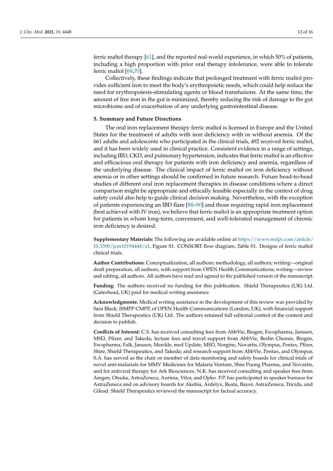ferric maltol therapy [\[61\]](#page-15-1), and the reported real-world experience, in which 50% of patients, including a high proportion with prior oral therapy intolerance, were able to tolerate ferric maltol [\[69,](#page-15-9)[70\]](#page-15-10).

Collectively, these findings indicate that prolonged treatment with ferric maltol provides sufficient iron to meet the body's erythropoietic needs, which could help reduce the need for erythropoiesis-stimulating agents or blood transfusions. At the same time, the amount of free iron in the gut is minimized, thereby reducing the risk of damage to the gut microbiome and of exacerbation of any underlying gastrointestinal disease.

#### **5. Summary and Future Directions**

The oral iron replacement therapy ferric maltol is licensed in Europe and the United States for the treatment of adults with iron deficiency with or without anemia. Of the 661 adults and adolescents who participated in the clinical trials, 492 received ferric maltol, and it has been widely used in clinical practice. Consistent evidence in a range of settings, including IBD, CKD, and pulmonary hypertension, indicates that ferric maltol is an effective and efficacious oral therapy for patients with iron deficiency and anemia, regardless of the underlying disease. The clinical impact of ferric maltol on iron deficiency without anemia or in other settings should be confirmed in future research. Future head-to-head studies of different oral iron replacement therapies in disease conditions where a direct comparison might be appropriate and ethically feasible especially in the context of drug safety could also help to guide clinical decision making. Nevertheless, with the exception of patients experiencing an IBD flare [\[88–](#page-16-6)[90\]](#page-16-7) and those requiring rapid iron replacement (best achieved with IV iron), we believe that ferric maltol is an appropriate treatment option for patients in whom long-term, convenient, and well-tolerated management of chronic iron deficiency is desired.

**Supplementary Materials:** The following are available online at [https://www.mdpi.com/article/](https://www.mdpi.com/article/10.3390/jcm10194448/s1) [10.3390/jcm10194448/s1,](https://www.mdpi.com/article/10.3390/jcm10194448/s1) Figure S1. CONSORT flow diagram, Table S1. Designs of ferric maltol clinical trials.

**Author Contributions:** Conceptualization, all authors; methodology, all authors; writing—original draft preparation, all authors, with support from OPEN Health Communications; writing—review and editing, all authors. All authors have read and agreed to the published version of the manuscript.

**Funding:** The authors received no funding for this publication. Shield Therapeutics (UK) Ltd. (Gateshead, UK) paid for medical writing assistance.

**Acknowledgments:** Medical writing assistance in the development of this review was provided by Sara Black, ISMPP CMPP, of OPEN Health Communications (London, UK), with financial support from Shield Therapeutics (UK) Ltd. The authors retained full editorial control of the content and decision to publish.

**Conflicts of Interest:** C.S. has received consulting fees from AbbVie, Biogen, Ewopharma, Janssen, MSD, Pfizer, and Takeda; lecture fees and travel support from AbbVie, Berlin Chemie, Biogen, Ewopharma, Falk, Janssen, Merckle, med Update, MSD, Norgine, Novartis, Olympus, Pentax, Pfizer, Shire, Shield Therapeutics, and Takeda; and research support from AbbVie, Pentax, and Olympus. S.A. has served as the chair or member of data monitoring and safety boards for clinical trials of novel anti-malarials for MMV Medicines for Malaria Venture, Shin Poong Pharma, and Novartis, and for antiviral therapy for Ark Biosciences. N.K. has received consulting and speaker fees from Amgen, Otsuka, AstraZeneca, Aurinia, Vifor, and Opko. P.P. has participated in speaker bureaus for AstraZeneca and on advisory boards for Akebia, Ardelyx, Reata, Bayer, AstraZeneca, Tricida, and Gilead. Shield Therapeutics reviewed the manuscript for factual accuracy.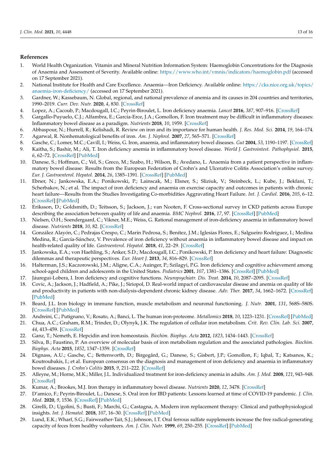#### **References**

- <span id="page-13-0"></span>1. World Health Organization. Vitamin and Mineral Nutrition Information System: Haemoglobin Concentrations for the Diagnosis of Anaemia and Assessment of Severity. Available online: <https://www.who.int/vmnis/indicators/haemoglobin.pdf> (accessed on 17 September 2021).
- 2. National Institute for Health and Care Excellence. Anaemia—Iron Deficiency. Available online: [https://cks.nice.org.uk/topics/](https://cks.nice.org.uk/topics/anaemia-iron-deficiency/) [anaemia-iron-deficiency/](https://cks.nice.org.uk/topics/anaemia-iron-deficiency/) (accessed on 17 September 2021).
- 3. Gardner, W.; Kassebaum, N. Global, regional, and national prevalence of anemia and its causes in 204 countries and territories, 1990–2019. *Curr. Dev. Nutr.* **2020**, *4*, 830. [\[CrossRef\]](http://doi.org/10.1093/cdn/nzaa053_035)
- <span id="page-13-1"></span>4. Lopez, A.; Cacoub, P.; Macdougall, I.C.; Peyrin-Biroulet, L. Iron deficiency anaemia. *Lancet* **2016**, *387*, 907–916. [\[CrossRef\]](http://doi.org/10.1016/S0140-6736(15)60865-0)
- <span id="page-13-2"></span>5. Gargallo-Puyuelo, C.J.; Alfambra, E.; García-Erce, J.A.; Gomollon, F. Iron treatment may be difficult in inflammatory diseases: Inflammatory bowel disease as a paradigm. *Nutrients* **2018**, *10*, 1959. [\[CrossRef\]](http://doi.org/10.3390/nu10121959)
- <span id="page-13-3"></span>6. Abbaspour, N.; Hurrell, R.; Kelishadi, R. Review on iron and its importance for human health. *J. Res. Med. Sci.* **2014**, *19*, 164–174.
- <span id="page-13-4"></span>7. Agarwal, R. Nonhematological benefits of iron. *Am. J. Nephrol.* **2007**, *27*, 565–571. [\[CrossRef\]](http://doi.org/10.1159/000107927)
- 8. Gasche, C.; Lomer, M.C.; Cavill, I.; Weiss, G. Iron, anaemia, and inflammatory bowel diseases. *Gut* **2004**, *53*, 1190–1197. [\[CrossRef\]](http://doi.org/10.1136/gut.2003.035758)
- 9. Kaitha, S.; Bashir, M.; Ali, T. Iron deficiency anemia in inflammatory bowel disease. *World J. Gastrointest. Pathophysiol.* **2015**, *6*, 62–72. [\[CrossRef\]](http://doi.org/10.4291/wjgp.v6.i3.62) [\[PubMed\]](http://www.ncbi.nlm.nih.gov/pubmed/26301120)
- 10. Danese, S.; Hoffman, C.; Vel, S.; Greco, M.; Szabo, H.; Wilson, B.; Avedano, L. Anaemia from a patient perspective in inflammatory bowel disease: Results from the European Federation of Crohn's and Ulcerative Colitis Association's online survey. *Eur. J. Gastroenterol. Hepatol.* **2014**, *26*, 1385–1391. [\[CrossRef\]](http://doi.org/10.1097/MEG.0000000000000200) [\[PubMed\]](http://www.ncbi.nlm.nih.gov/pubmed/25264983)
- 11. Ebner, N.; Jankowska, E.A.; Ponikowski, P.; Lainscak, M.; Elsner, S.; Sliziuk, V.; Steinbeck, L.; Kube, J.; Bekfani, T.; Scherbakov, N.; et al. The impact of iron deficiency and anaemia on exercise capacity and outcomes in patients with chronic heart failure—Results from the Studies Investigating Co-morbidities Aggravating Heart Failure. *Int. J. Cardiol.* **2016**, *205*, 6–12. [\[CrossRef\]](http://doi.org/10.1016/j.ijcard.2015.11.178) [\[PubMed\]](http://www.ncbi.nlm.nih.gov/pubmed/26705670)
- <span id="page-13-5"></span>12. Eriksson, D.; Goldsmith, D.; Teitsson, S.; Jackson, J.; van Nooten, F. Cross-sectional survey in CKD patients across Europe describing the association between quality of life and anaemia. *BMC Nephrol.* **2016**, *17*, 97. [\[CrossRef\]](http://doi.org/10.1186/s12882-016-0312-9) [\[PubMed\]](http://www.ncbi.nlm.nih.gov/pubmed/27460779)
- 13. Nielsen, O.H.; Soendergaard, C.; Vikner, M.E.; Weiss, G. Rational management of iron-deficiency anaemia in inflammatory bowel disease. *Nutrients* **2018**, *10*, 82. [\[CrossRef\]](http://doi.org/10.3390/nu10010082)
- 14. González Alayón, C.; Pedrajas Crespo, C.; Marín Pedrosa, S.; Benítez, J.M.; Iglesias Flores, E.; Salgueiro Rodríguez, I.; Medina Medina, R.; García-Sánchez, V. Prevalence of iron deficiency without anaemia in inflammatory bowel disease and impact on health-related quality of life. *Gastroenterol. Hepatol.* **2018**, *41*, 22–29. [\[CrossRef\]](http://doi.org/10.1016/j.gastrohep.2017.07.011)
- <span id="page-13-7"></span>15. Jankowska, E.A.; von Haehling, S.; Anker, S.D.; Macdougall, I.C.; Ponikowski, P. Iron deficiency and heart failure: Diagnostic dilemmas and therapeutic perspectives. *Eur. Heart J.* **2013**, *34*, 816–829. [\[CrossRef\]](http://doi.org/10.1093/eurheartj/ehs224)
- 16. Halterman, J.S.; Kaczorowski, J.M.; Aligne, C.A.; Auinger, P.; Szilagyi, P.G. Iron deficiency and cognitive achievement among school-aged children and adolescents in the United States. *Pediatrics* **2001**, *107*, 1381–1386. [\[CrossRef\]](http://doi.org/10.1542/peds.107.6.1381) [\[PubMed\]](http://www.ncbi.nlm.nih.gov/pubmed/11389261)
- <span id="page-13-6"></span>17. Jáuregui-Lobera, I. Iron deficiency and cognitive functions. *Neuropsychiatr. Dis. Treat.* **2014**, *10*, 2087–2095. [\[CrossRef\]](http://doi.org/10.2147/NDT.S72491)
- <span id="page-13-8"></span>18. Covic, A.; Jackson, J.; Hadfield, A.; Pike, J.; Siriopol, D. Real-world impact of cardiovascular disease and anemia on quality of life and productivity in patients with non-dialysis-dependent chronic kidney disease. *Adv. Ther.* **2017**, *34*, 1662–1672. [\[CrossRef\]](http://doi.org/10.1007/s12325-017-0566-z) [\[PubMed\]](http://www.ncbi.nlm.nih.gov/pubmed/28578500)
- <span id="page-13-9"></span>19. Beard, J.L. Iron biology in immune function, muscle metabolism and neuronal functioning. *J. Nutr.* **2001**, *131*, 568S–580S. [\[CrossRef\]](http://doi.org/10.1093/jn/131.2.568S) [\[PubMed\]](http://www.ncbi.nlm.nih.gov/pubmed/11160590)
- <span id="page-13-10"></span>20. Andreini, C.; Putignano, V.; Rosato, A.; Banci, L. The human iron-proteome. *Metallomics* **2018**, *10*, 1223–1231. [\[CrossRef\]](http://doi.org/10.1039/c8mt00146d) [\[PubMed\]](http://www.ncbi.nlm.nih.gov/pubmed/30095136)
- <span id="page-13-11"></span>21. Chua, A.C.; Graham, R.M.; Trinder, D.; Olynyk, J.K. The regulation of cellular iron metabolism. *Crit. Rev. Clin. Lab. Sci.* **2007**, *44*, 413–459. [\[CrossRef\]](http://doi.org/10.1080/10408360701428257)
- <span id="page-13-13"></span>22. Ganz, T.; Nemeth, E. Hepcidin and iron homeostasis. *Biochim. Biophys. Acta* **2012**, *1823*, 1434–1443. [\[CrossRef\]](http://doi.org/10.1016/j.bbamcr.2012.01.014)
- <span id="page-13-12"></span>23. Silva, B.; Faustino, P. An overview of molecular basis of iron metabolism regulation and the associated pathologies. *Biochim. Biophys. Acta* **2015**, *1852*, 1347–1359. [\[CrossRef\]](http://doi.org/10.1016/j.bbadis.2015.03.011)
- <span id="page-13-14"></span>24. Dignass, A.U.; Gasche, C.; Bettenworth, D.; Birgegård, G.; Danese, S.; Gisbert, J.P.; Gomollon, F.; Iqbal, T.; Katsanos, K.; Koutroubakis, I.; et al. European consensus on the diagnosis and management of iron deficiency and anaemia in inflammatory bowel diseases. *J. Crohn's Colitis* **2015**, *9*, 211–222. [\[CrossRef\]](http://doi.org/10.1093/ecco-jcc/jju009)
- <span id="page-13-15"></span>25. Alleyne, M.; Horne, M.K.; Miller, J.L. Individualized treatment for iron-deficiency anemia in adults. *Am. J. Med.* **2008**, *121*, 943–948. [\[CrossRef\]](http://doi.org/10.1016/j.amjmed.2008.07.012)
- <span id="page-13-16"></span>26. Kumar, A.; Brookes, M.J. Iron therapy in inflammatory bowel disease. *Nutrients* **2020**, *12*, 3478. [\[CrossRef\]](http://doi.org/10.3390/nu12113478)
- <span id="page-13-17"></span>27. D'amico, F.; Peyrin-Biroulet, L.; Danese, S. Oral iron for IBD patients: Lessons learned at time of COVID-19 pandemic. *J. Clin. Med.* **2020**, *9*, 1536. [\[CrossRef\]](http://doi.org/10.3390/jcm9051536) [\[PubMed\]](http://www.ncbi.nlm.nih.gov/pubmed/32438763)
- <span id="page-13-18"></span>28. Girelli, D.; Ugolini, S.; Busti, F.; Marchi, G.; Castagna, A. Modern iron replacement therapy: Clinical and pathophysiological insights. *Int. J. Hematol.* **2018**, *107*, 16–30. [\[CrossRef\]](http://doi.org/10.1007/s12185-017-2373-3) [\[PubMed\]](http://www.ncbi.nlm.nih.gov/pubmed/29196967)
- <span id="page-13-19"></span>29. Lund, E.K.; Wharf, S.G.; Fairweather-Tait, S.J.; Johnson, I.T. Oral ferrous sulfate supplements increase the free radical-generating capacity of feces from healthy volunteers. *Am. J. Clin. Nutr.* **1999**, *69*, 250–255. [\[CrossRef\]](http://doi.org/10.1093/ajcn/69.2.250) [\[PubMed\]](http://www.ncbi.nlm.nih.gov/pubmed/9989688)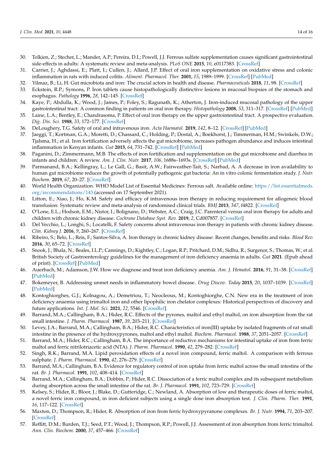- <span id="page-14-2"></span>30. Tolkien, Z.; Stecher, L.; Mander, A.P.; Pereira, D.I.; Powell, J.J. Ferrous sulfate supplementation causes significant gastrointestinal side-effects in adults: A systematic review and meta-analysis. *PLoS ONE* **2015**, *10*, e0117383. [\[CrossRef\]](http://doi.org/10.1371/journal.pone.0117383)
- <span id="page-14-5"></span>31. Carrier, J.; Aghdassi, E.; Platt, I.; Cullen, J.; Allard, J.P. Effect of oral iron supplementation on oxidative stress and colonic inflammation in rats with induced colitis. *Aliment. Pharmacol. Ther.* **2001**, *15*, 1989–1999. [\[CrossRef\]](http://doi.org/10.1046/j.1365-2036.2001.01113.x) [\[PubMed\]](http://www.ncbi.nlm.nih.gov/pubmed/11736731)
- <span id="page-14-0"></span>32. Yilmaz, B.; Li, H. Gut microbiota and iron: The crucial actors in health and disease. *Pharmaceuticals* **2018**, *11*, 98. [\[CrossRef\]](http://doi.org/10.3390/ph11040098)
- <span id="page-14-6"></span>33. Eckstein, R.P.; Symons, P. Iron tablets cause histopathologically distinctive lesions in mucosal biopsies of the stomach and esophagus. *Pathology* **1996**, *28*, 142–145. [\[CrossRef\]](http://doi.org/10.1080/00313029600169763)
- 34. Kaye, P.; Abdulla, K.; Wood, J.; James, P.; Foley, S.; Ragunath, K.; Atherton, J. Iron-induced mucosal pathology of the upper gastrointestinal tract: A common finding in patients on oral iron therapy. *Histopathology* **2008**, *53*, 311–317. [\[CrossRef\]](http://doi.org/10.1111/j.1365-2559.2008.03081.x) [\[PubMed\]](http://www.ncbi.nlm.nih.gov/pubmed/18631194)
- <span id="page-14-3"></span>35. Laine, L.A.; Bentley, E.; Chandrasoma, P. Effect of oral iron therapy on the upper gastrointestinal tract. A prospective evaluation. *Dig. Dis. Sci.* **1988**, *33*, 172–177. [\[CrossRef\]](http://doi.org/10.1007/BF01535729)
- <span id="page-14-1"></span>36. DeLoughery, T.G. Safety of oral and intravenous iron. *Acta Haematol.* **2019**, *142*, 8–12. [\[CrossRef\]](http://doi.org/10.1159/000496966) [\[PubMed\]](http://www.ncbi.nlm.nih.gov/pubmed/30970354)
- <span id="page-14-7"></span>37. Jaeggi, T.; Kortman, G.A.; Moretti, D.; Chassard, C.; Holding, P.; Dostal, A.; Boekhorst, J.; Timmerman, H.M.; Swinkels, D.W.; Tjalsma, H.; et al. Iron fortification adversely affects the gut microbiome, increases pathogen abundance and induces intestinal inflammation in Kenyan infants. *Gut* **2015**, *64*, 731–742. [\[CrossRef\]](http://doi.org/10.1136/gutjnl-2014-307720) [\[PubMed\]](http://www.ncbi.nlm.nih.gov/pubmed/25143342)
- 38. Paganini, D.; Zimmermann, M.B. The effects of iron fortification and supplementation on the gut microbiome and diarrhea in infants and children: A review. *Am. J. Clin. Nutr.* **2017**, *106*, 1688s–1693s. [\[CrossRef\]](http://doi.org/10.3945/ajcn.117.156067) [\[PubMed\]](http://www.ncbi.nlm.nih.gov/pubmed/29070552)
- <span id="page-14-4"></span>39. Parmanand, B.A.; Kellingray, L.; Le Gall, G.; Basit, A.W.; Fairweather-Tait, S.; Narbad, A. A decrease in iron availability to human gut microbiome reduces the growth of potentially pathogenic gut bacteria: An in vitro colonic fermentation study. *J. Nutr. Biochem.* **2019**, *67*, 20–27. [\[CrossRef\]](http://doi.org/10.1016/j.jnutbio.2019.01.010)
- <span id="page-14-8"></span>40. World Health Organization. WHO Model List of Essential Medicines: Ferrous salt. Available online: [https://list.essentialmeds.](https://list.essentialmeds.org/recommendations/143) [org/recommendations/143](https://list.essentialmeds.org/recommendations/143) (accessed on 17 September 2021).
- <span id="page-14-9"></span>41. Litton, E.; Xiao, J.; Ho, K.M. Safety and efficacy of intravenous iron therapy in reducing requirement for allogeneic blood transfusion: Systematic review and meta-analysis of randomised clinical trials. *BMJ* **2013**, *347*, f4822. [\[CrossRef\]](http://doi.org/10.1136/bmj.f4822)
- <span id="page-14-10"></span>42. O'Lone, E.L.; Hodson, E.M.; Nistor, I.; Bolignano, D.; Webster, A.C.; Craig, J.C. Parenteral versus oral iron therapy for adults and children with chronic kidney disease. *Cochrane Database Syst. Rev.* **2019**, *2*, Cd007857. [\[CrossRef\]](http://doi.org/10.1002/14651858.CD007857.pub3)
- <span id="page-14-11"></span>43. Del Vecchio, L.; Longhi, S.; Locatelli, F. Safety concerns about intravenous iron therapy in patients with chronic kidney disease. *Clin. Kidney J.* **2016**, *9*, 260–267. [\[CrossRef\]](http://doi.org/10.1093/ckj/sfv142)
- <span id="page-14-12"></span>44. Ribeiro, S.; Belo, L.; Reis, F.; Santos-Silva, A. Iron therapy in chronic kidney disease: Recent changes, benefits and risks. *Blood Rev.* **2016**, *30*, 65–72. [\[CrossRef\]](http://doi.org/10.1016/j.blre.2015.07.006)
- <span id="page-14-13"></span>45. Snook, J.; Bhala, N.; Beales, I.L.P.; Cannings, D.; Kightley, C.; Logan, R.P.; Pritchard, D.M.; Sidhu, R.; Surgenor, S.; Thomas, W.; et al. British Society of Gastroenterology guidelines for the management of iron deficiency anaemia in adults. *Gut* **2021**. (Epub ahead of print). [\[CrossRef\]](http://doi.org/10.1136/gutjnl-2021-325210) [\[PubMed\]](http://www.ncbi.nlm.nih.gov/pubmed/34497146)
- 46. Auerbach, M.; Adamson, J.W. How we diagnose and treat iron deficiency anemia. *Am. J. Hematol.* **2016**, *91*, 31–38. [\[CrossRef\]](http://doi.org/10.1002/ajh.24201) [\[PubMed\]](http://www.ncbi.nlm.nih.gov/pubmed/26408108)
- <span id="page-14-14"></span>47. Bokemeyer, B. Addressing unmet needs in inflammatory bowel disease. *Drug Discov. Today* **2015**, *20*, 1037–1039. [\[CrossRef\]](http://doi.org/10.1016/j.drudis.2015.07.005) [\[PubMed\]](http://www.ncbi.nlm.nih.gov/pubmed/26232319)
- <span id="page-14-15"></span>48. Kontoghiorghes, G.J.; Kolnagou, A.; Demetriou, T.; Neocleous, M.; Kontoghiorghe, C.N. New era in the treatment of iron deficiency anaemia using trimaltol iron and other lipophilic iron chelator complexes: Historical perspectives of discovery and future applications. *Int. J. Mol. Sci.* **2021**, *22*, 5546. [\[CrossRef\]](http://doi.org/10.3390/ijms22115546)
- <span id="page-14-16"></span>49. Barrand, M.A.; Callingham, B.A.; Hider, R.C. Effects of the pyrones, maltol and ethyl maltol, on iron absorption from the rat small intestine. *J. Pharm. Pharmacol.* **1987**, *39*, 203–211. [\[CrossRef\]](http://doi.org/10.1111/j.2042-7158.1987.tb06249.x)
- <span id="page-14-18"></span>50. Levey, J.A.; Barrand, M.A.; Callingham, B.A.; Hider, R.C. Characteristics of iron(III) uptake by isolated fragments of rat small intestine in the presence of the hydroxypyrones, maltol and ethyl maltol. *Biochem. Pharmacol.* **1988**, *37*, 2051–2057. [\[CrossRef\]](http://doi.org/10.1016/0006-2952(88)90556-4)
- <span id="page-14-19"></span>51. Barrand, M.A.; Hider, R.C.; Callingham, B.A. The importance of reductive mechanisms for intestinal uptake of iron from ferric maltol and ferric nitrilotriacetic acid (NTA). *J. Pharm. Pharmacol.* **1990**, *42*, 279–282. [\[CrossRef\]](http://doi.org/10.1111/j.2042-7158.1990.tb05408.x)
- 52. Singh, R.K.; Barrand, M.A. Lipid peroxidation effects of a novel iron compound, ferric maltol. A comparison with ferrous sulphate. *J. Pharm. Pharmacol.* **1990**, *42*, 276–279. [\[CrossRef\]](http://doi.org/10.1111/j.2042-7158.1990.tb05407.x)
- <span id="page-14-21"></span>53. Barrand, M.A.; Callingham, B.A. Evidence for regulatory control of iron uptake from ferric maltol across the small intestine of the rat. *Br. J. Pharmacol.* **1991**, *102*, 408–414. [\[CrossRef\]](http://doi.org/10.1111/j.1476-5381.1991.tb12187.x)
- <span id="page-14-20"></span>54. Barrand, M.A.; Callingham, B.A.; Dobbin, P.; Hider, R.C. Dissociation of a ferric maltol complex and its subsequent metabolism during absorption across the small intestine of the rat. *Br. J. Pharmacol.* **1991**, *102*, 723–729. [\[CrossRef\]](http://doi.org/10.1111/j.1476-5381.1991.tb12240.x)
- <span id="page-14-17"></span>55. Kelsey, S.; Hider, R.; Bloor, J.; Blake, D.; Gutteridge, C.; Newland, A. Absorption of low and therapeutic doses of ferric maltol, a novel ferric iron compound, in iron deficient subjects using a single dose iron absorption test. *J. Clin. Pharm. Ther.* **1991**, *16*, 117–122. [\[CrossRef\]](http://doi.org/10.1111/j.1365-2710.1991.tb00292.x)
- <span id="page-14-22"></span>56. Maxton, D.; Thompson, R.; Hider, R. Absorption of iron from ferric hydroxypyranone complexes. *Br. J. Nutr.* **1994**, *71*, 203–207. [\[CrossRef\]](http://doi.org/10.1079/BJN19940127)
- <span id="page-14-23"></span>57. Reffitt, D.M.; Burden, T.J.; Seed, P.T.; Wood, J.; Thompson, R.P.; Powell, J.J. Assessment of iron absorption from ferric trimaltol. *Ann. Clin. Biochem.* **2000**, *37*, 457–466. [\[CrossRef\]](http://doi.org/10.1177/000456320003700405)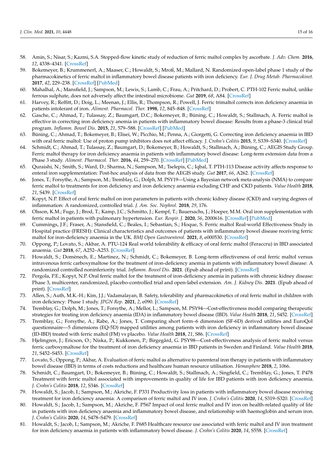- <span id="page-15-16"></span><span id="page-15-15"></span>58. Amin, S.; Nisar, S.; Kazmi, S.A. Stopped-flow kinetic study of reduction of ferric maltol complex by ascorbate. *J. Adv. Chem.* **2016**, *12*, 4338–4341. [\[CrossRef\]](http://doi.org/10.24297/jac.v12i4.2174)
- <span id="page-15-19"></span><span id="page-15-4"></span>59. Bokemeyer, B.; Krummenerl, A.; Maaser, C.; Howaldt, S.; Mroß, M.; Mallard, N. Randomized open-label phase 1 study of the pharmacokinetics of ferric maltol in inflammatory bowel disease patients with iron deficiency. *Eur. J. Drug Metab. Pharmacokinet.* **2017**, *42*, 229–238. [\[CrossRef\]](http://doi.org/10.1007/s13318-016-0334-5) [\[PubMed\]](http://www.ncbi.nlm.nih.gov/pubmed/27101422)
- <span id="page-15-0"></span>60. Mahalhal, A.; Mansfield, J.; Sampson, M.; Lewis, S.; Lamb, C.; Frau, A.; Pritchard, D.; Probert, C. PTH-102 Ferric maltol, unlike ferrous sulphate, does not adversely affect the intestinal microbiome. *Gut* **2019**, *68*, A84. [\[CrossRef\]](http://doi.org/10.1136/gutjnl-2019-BSGAbstracts.161)
- <span id="page-15-1"></span>61. Harvey, R.; Reffitt, D.; Doig, L.; Meenan, J.; Ellis, R.; Thompson, R.; Powell, J. Ferric trimaltol corrects iron deficiency anaemia in patients intolerant of iron. *Aliment. Pharmacol. Ther.* **1998**, *12*, 845–848. [\[CrossRef\]](http://doi.org/10.1046/j.1365-2036.1998.00380.x)
- <span id="page-15-17"></span><span id="page-15-5"></span>62. Gasche, C.; Ahmad, T.; Tulassay, Z.; Baumgart, D.C.; Bokemeyer, B.; Büning, C.; Howaldt, S.; Stallmach, A. Ferric maltol is effective in correcting iron deficiency anemia in patients with inflammatory bowel disease: Results from a phase-3 clinical trial program. *Inflamm. Bowel Dis.* **2015**, *21*, 579–588. [\[CrossRef\]](http://doi.org/10.1097/MIB.0000000000000314) [\[PubMed\]](http://www.ncbi.nlm.nih.gov/pubmed/25545376)
- <span id="page-15-18"></span><span id="page-15-14"></span>63. Büning, C.; Ahmad, T.; Bokemeyer, B.; Elisei, W.; Picchio, M.; Penna, A.; Giorgetti, G. Correcting iron deficiency anaemia in IBD with oral ferric maltol: Use of proton pump inhibitors does not affect efficacy. *J. Crohn's Colitis* **2015**, *9*, S339–S340. [\[CrossRef\]](http://doi.org/10.1093/ecco-jcc/jju027.639)
- <span id="page-15-6"></span>64. Schmidt, C.; Ahmad, T.; Tulassay, Z.; Baumgart, D.; Bokemeyer, B.; Howaldt, S.; Stallmach, A.; Büning, C.; AEGIS Study Group. Ferric maltol therapy for iron deficiency anaemia in patients with inflammatory bowel disease: Long-term extension data from a Phase 3 study. *Aliment. Pharmacol. Ther.* **2016**, *44*, 259–270. [\[CrossRef\]](http://doi.org/10.1111/apt.13665) [\[PubMed\]](http://www.ncbi.nlm.nih.gov/pubmed/27237709)
- <span id="page-15-12"></span>65. Quraishi, N.; Smith, S.; Ward, D.; Sharma, N.; Sampson, M.; Tselepis, C.; Iqbal, T. PTH-113 Disease activity affects response to enteral iron supplementation: Post-hoc analysis of data from the AEGIS study. *Gut* **2017**, *66*, A262. [\[CrossRef\]](http://doi.org/10.1136/gutjnl-2017-314472.512)
- <span id="page-15-20"></span>66. Jones, T.; Forsythe, A.; Sampson, M.; Tremblay, G.; Dolph, M. PSY19—Using a Bayesian network meta-analysis (NMA) to compare ferric maltol to treatments for iron deficiency and iron deficiency anaemia excluding CHF and CKD patients. *Value Health* **2018**, *21*, S439. [\[CrossRef\]](http://doi.org/10.1016/j.jval.2018.09.2596)
- <span id="page-15-13"></span>67. Kopyt, N.P. Effect of oral ferric maltol on iron parameters in patients with chronic kidney disease (CKD) and varying degrees of inflammation: A randomized, controlled trial. *J. Am. Soc. Nephrol.* **2018**, *29*, 176.
- <span id="page-15-7"></span>68. Olsson, K.M.; Fuge, J.; Brod, T.; Kamp, J.C.; Schmitto, J.; Kempf, T.; Bauersachs, J.; Hoeper, M.M. Oral iron supplementation with ferric maltol in patients with pulmonary hypertension. *Eur. Respir. J.* **2020**, *56*, 2000616. [\[CrossRef\]](http://doi.org/10.1183/13993003.00616-2020) [\[PubMed\]](http://www.ncbi.nlm.nih.gov/pubmed/32444411)
- <span id="page-15-9"></span>69. Cummings, J.F.; Fraser, A.; Stansfield, C.; Beales, I.; Sebastian, S.; Hoque, S. Ferric maltol Real-world Effectiveness Study in Hospital practice (FRESH): Clinical characteristics and outcomes of patients with inflammatory bowel disease receiving ferric maltol for iron-deficiency anaemia in the UK. *BMJ Open Gastroenterol.* **2021**, *8*, e000530. [\[CrossRef\]](http://doi.org/10.1136/bmjgast-2020-000530)
- <span id="page-15-10"></span>70. Oppong, P.; Lovato, S.; Akbar, A. PTU-124 Real world tolerability & efficacy of oral ferric maltol (Feraccru) in IBD associated anaemia. *Gut* **2018**, *67*, A252–A253. [\[CrossRef\]](http://doi.org/10.1136/gutjnl-2018-BSGAbstracts.502)
- <span id="page-15-8"></span>71. Howaldt, S.; Domènech, E.; Martinez, N.; Schmidt, C.; Bokemeyer, B. Long-term effectiveness of oral ferric maltol versus intravenous ferric carboxymaltose for the treatment of iron-deficiency anemia in patients with inflammatory bowel disease: A randomized controlled noninferiority trial. *Inflamm. Bowel Dis.* **2021**. (Epub ahead of print). [\[CrossRef\]](http://doi.org/10.1093/ibd/izab073)
- <span id="page-15-11"></span>72. Pergola, P.E.; Kopyt, N.P. Oral ferric maltol for the treatment of iron-deficiency anemia in patients with chronic kidney disease: Phase 3, multicenter, randomized, placebo-controlled trial and open-label extension. *Am. J. Kidney Dis.* **2021**. (Epub ahead of print). [\[CrossRef\]](http://doi.org/10.1053/j.ajkd.2021.03.020)
- <span id="page-15-2"></span>73. Allen, S.; Auth, M.K.-H.; Kim, J.J.; Vadamalayan, B. Safety, tolerability and pharmacokinetics of oral ferric maltol in children with iron deficiency: Phase 1 study. *JPGN Rep.* **2021**, *2*, e090. [\[CrossRef\]](http://doi.org/10.1097/PG9.0000000000000090)
- <span id="page-15-3"></span>74. Tremblay, G.; Dolph, M.; Jones, T.; Forsythe, A.; Mellor, L.; Sampson, M. PSY94—Cost-effectiveness model comparing therapeutic strategies for treating iron deficiency anaemia (IDA) in inflammatory bowel disease (IBD). *Value Health* **2018**, *21*, S452. [\[CrossRef\]](http://doi.org/10.1016/j.jval.2018.09.2669)
- 75. Tremblay, G.; Forsythe, A.; Rabe, A.; Jones, T. Comparing short form–6 dimension (SF-6D) derived utilities and EuroQol questionnaire—5 dimensions (EQ-5D) mapped utilities among patients with iron deficiency in inflammatory bowel disease (ID-IBD) treated with ferric maltol (FM) vs placebo. *Value Health* **2018**, *21*, S86. [\[CrossRef\]](http://doi.org/10.1016/j.jval.2018.04.585)
- 76. Hjelmgren, J.; Ericson, O.; Niska, P.; Kukkonen, P.; Birgegård, G. PSY98—Cost-effectiveness analysis of ferric maltol versus ferric carboxymaltose for the treatment of iron deficiency anaemia in IBD patients in Sweden and Finland. *Value Health* **2018**, *21*, S452–S453. [\[CrossRef\]](http://doi.org/10.1016/j.jval.2018.09.2673)
- 77. Lovato, S.; Oppong, P.; Akbar, A. Evaluation of ferric maltol as alternative to parenteral iron therapy in patients with inflammatory bowel disease (IBD) in terms of costs reductions and healthcare human resource utilisation. *Hemasphere* **2018**, *2*, 1066.
- 78. Schmidt, C.; Baumgart, D.; Bokemeyer, B.; Büning, C.; Howaldt, S.; Stallmach, A.; Singfield, C.; Tremblay, G.; Jones, T. P478 Treatment with ferric maltol associated with improvements in quality of life for IBD patients with iron deficiency anaemia. *J. Crohn's Colitis* **2018**, *12*, S346. [\[CrossRef\]](http://doi.org/10.1093/ecco-jcc/jjx180.605)
- 79. Howaldt, S.; Jacob, I.; Sampson, M.; Akriche, F. P331 Productivity loss in patients with inflammatory bowel disease receiving treatment for iron deficiency anaemia: A comparison of ferric maltol and IV iron. *J. Crohn's Colitis* **2020**, *14*, S319–S320. [\[CrossRef\]](http://doi.org/10.1093/ecco-jcc/jjz203.460)
- 80. Howaldt, S.; Jacob, I.; Sampson, M.; Akriche, F. P567 Impact of oral ferric maltol and IV iron on health-related quality of life in patients with iron deficiency anaemia and inflammatory bowel disease, and relationship with haemoglobin and serum iron. *J. Crohn's Colitis* **2020**, *14*, S478–S479. [\[CrossRef\]](http://doi.org/10.1093/ecco-jcc/jjz203.695)
- 81. Howaldt, S.; Jacob, I.; Sampson, M.; Akriche, F. P685 Healthcare resource use associated with ferric maltol and IV iron treatment for iron deficiency anaemia in patients with inflammatory bowel disease. *J. Crohn's Colitis* **2020**, *14*, S558. [\[CrossRef\]](http://doi.org/10.1093/ecco-jcc/jjz203.813)